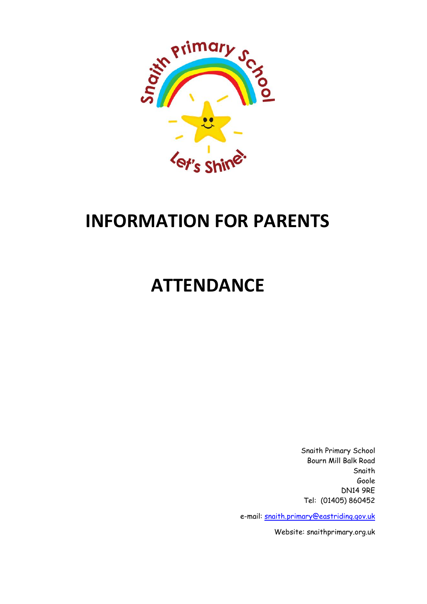

# **INFORMATION FOR PARENTS**

# **ATTENDANCE**

Snaith Primary School Bourn Mill Balk Road Snaith Goole DN14 9RE Tel: (01405) 860452

e-mail: [snaith.primary@eastriding.gov.uk](mailto:office@snaithprimary.eril.net)

Website: snaithprimary.org.uk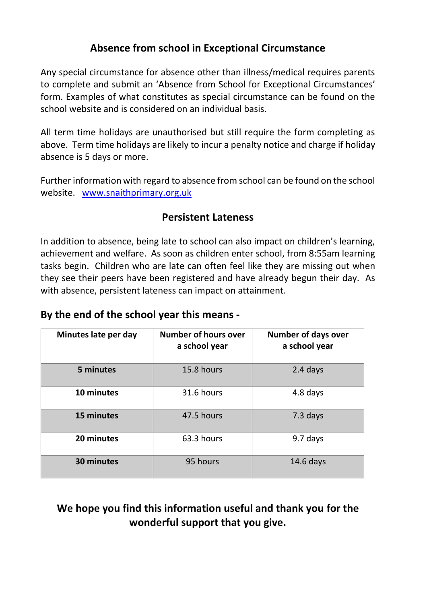# **Absence from school in Exceptional Circumstance**

Any special circumstance for absence other than illness/medical requires parents to complete and submit an 'Absence from School for Exceptional Circumstances' form. Examples of what constitutes as special circumstance can be found on the school website and is considered on an individual basis.

All term time holidays are unauthorised but still require the form completing as above. Term time holidays are likely to incur a penalty notice and charge if holiday absence is 5 days or more.

Further information with regard to absence from school can be found on the school website. [www.snaithprimary.org.uk](http://www.snaithprimary.org.uk/)

### **Persistent Lateness**

In addition to absence, being late to school can also impact on children's learning, achievement and welfare. As soon as children enter school, from 8:55am learning tasks begin. Children who are late can often feel like they are missing out when they see their peers have been registered and have already begun their day. As with absence, persistent lateness can impact on attainment.

#### **By the end of the school year this means -**

| Minutes late per day | <b>Number of hours over</b><br>a school year | <b>Number of days over</b><br>a school year |
|----------------------|----------------------------------------------|---------------------------------------------|
| 5 minutes            | 15.8 hours                                   | 2.4 days                                    |
| 10 minutes           | 31.6 hours                                   | 4.8 days                                    |
| 15 minutes           | 47.5 hours                                   | 7.3 days                                    |
| 20 minutes           | 63.3 hours                                   | 9.7 days                                    |
| 30 minutes           | 95 hours                                     | $14.6$ days                                 |

# **We hope you find this information useful and thank you for the wonderful support that you give.**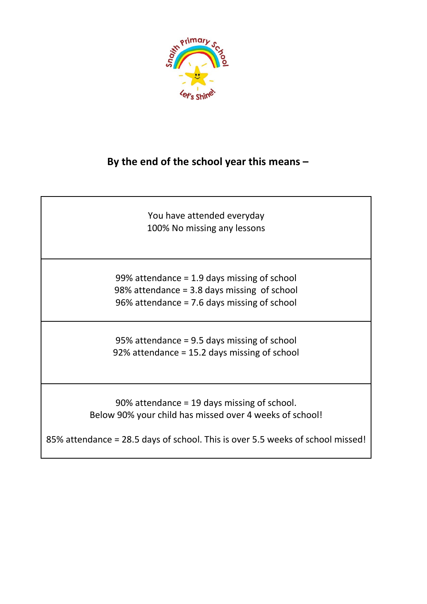

### **By the end of the school year this means –**

You have attended everyday 100% No missing any lessons

99% attendance = 1.9 days missing of school 98% attendance = 3.8 days missing of school 96% attendance = 7.6 days missing of school

95% attendance = 9.5 days missing of school 92% attendance = 15.2 days missing of school

90% attendance = 19 days missing of school. Below 90% your child has missed over 4 weeks of school!

85% attendance = 28.5 days of school. This is over 5.5 weeks of school missed!